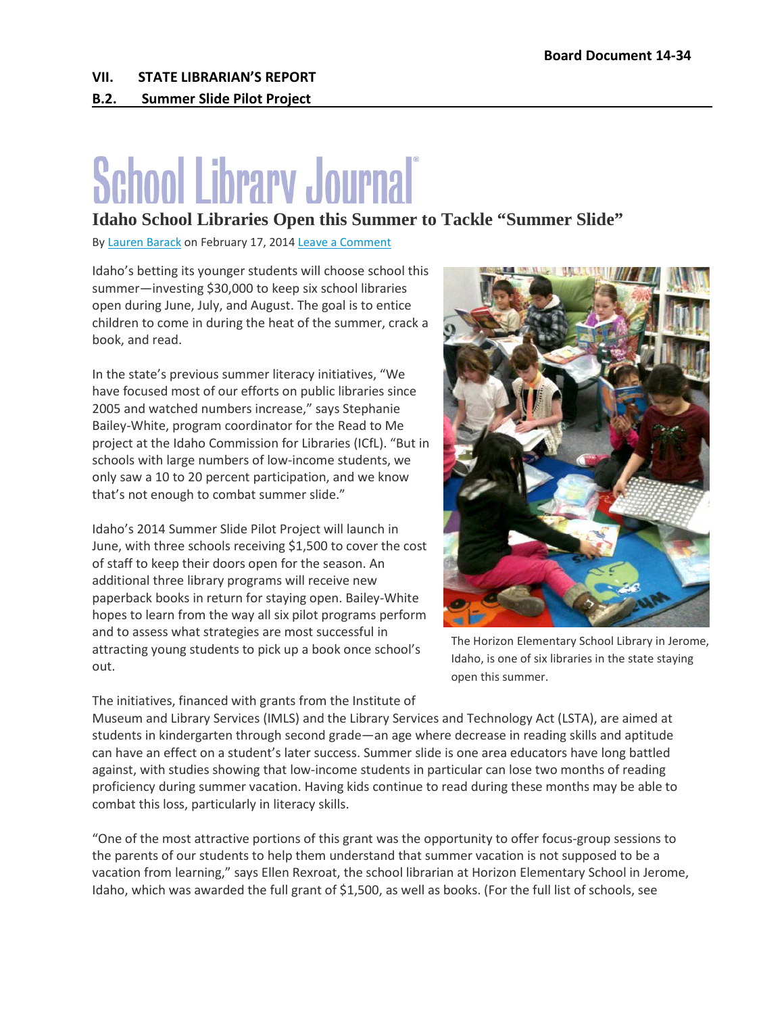## **B.2. Summer Slide Pilot Project**

## **School Library Journal**®

## **Idaho School Libraries Open this Summer to Tackle "Summer Slide"**

By [Lauren Barack](http://www.slj.com/author/lbarack/) on February 17, 2014 [Leave a Comment](http://www.slj.com/2014/02/programs/idaho-school-libraries-open-this-summer-to-tackle-summer-slide/#respond)

Idaho's betting its younger students will choose school this summer—investing \$30,000 to keep six school libraries open during June, July, and August. The goal is to entice children to come in during the heat of the summer, crack a book, and read.

In the state's previous summer literacy initiatives, "We have focused most of our efforts on public libraries since 2005 and watched numbers increase," says Stephanie Bailey-White, program coordinator for the Read to Me project at the Idaho Commission for Libraries (ICfL). "But in schools with large numbers of low-income students, we only saw a 10 to 20 percent participation, and we know that's not enough to combat summer slide."

Idaho's 2014 Summer Slide Pilot Project will launch in June, with three schools receiving \$1,500 to cover the cost of staff to keep their doors open for the season. An additional three library programs will receive new paperback books in return for staying open. Bailey-White hopes to learn from the way all six pilot programs perform and to assess what strategies are most successful in attracting young students to pick up a book once school's out.



The Horizon Elementary School Library in Jerome, Idaho, is one of six libraries in the state staying open this summer.

The initiatives, financed with grants from the Institute of

Museum and Library Services (IMLS) and the Library Services and Technology Act (LSTA), are aimed at students in kindergarten through second grade—an age where decrease in reading skills and aptitude can have an effect on a student's later success. Summer slide is one area educators have long battled against, with studies showing that low-income students in particular can lose two months of reading proficiency during summer vacation. Having kids continue to read during these months may be able to combat this loss, particularly in literacy skills.

"One of the most attractive portions of this grant was the opportunity to offer focus-group sessions to the parents of our students to help them understand that summer vacation is not supposed to be a vacation from learning," says Ellen Rexroat, the school librarian at Horizon Elementary School in Jerome, Idaho, which was awarded the full grant of \$1,500, as well as books. (For the full list of schools, see